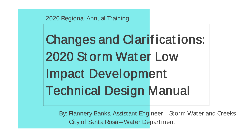2020 Regional Annual Training

Changes and Clarif icat ions: 2020 St orm Wat er Low Impact Development Technical Design Manual

By: Flannery Banks, Assistant Engineer – Storm Water and Creeks City of Santa Rosa – Water Department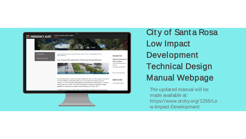

**City of Santa Rosa Low Impact Development Technical Design Manual Webpage** 

The updated manual will be made available at: https://www.srcity.org/1255/Lo w-Impact-Development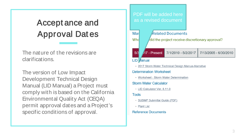# Accept ance and Approval Dat es

The nature of the revisions are clarifications.

The version of Low Impact Development Technical Design Manual (LID Manual) a Project must comply with is based on the California Environmental Quality Act (CEQA) permit approval dates and a Project's specific conditions of approval.

| PDF will be added here<br>as a revised document        |                          |                       |  |  |
|--------------------------------------------------------|--------------------------|-----------------------|--|--|
| Marl                                                   | <b>Related Documents</b> |                       |  |  |
| Wha<br>did the project receive discretionary approval? |                          |                       |  |  |
| 5/3<br><sup>17</sup> - Present                         | 7/1/2010 - 5/2/2017      | 7/13/2005 - 6/30/2010 |  |  |
| LID <i>Aanual</i>                                      |                          |                       |  |  |
| • 2017 Storm Water Technical Design Manual-Narrative   |                          |                       |  |  |
| <b>Determination Worksheet</b>                         |                          |                       |  |  |
| · Worksheet - Storm Water Determination                |                          |                       |  |  |
| <b>Storm Water Calculator</b>                          |                          |                       |  |  |
| • LID Calculator Ver, 8.11.0                           |                          |                       |  |  |
| Tools                                                  |                          |                       |  |  |
| • SUSMP Submittal Guide (PDF)                          |                          |                       |  |  |
| • Plant List                                           |                          |                       |  |  |
| <b>Reference Documents</b>                             |                          |                       |  |  |
|                                                        |                          |                       |  |  |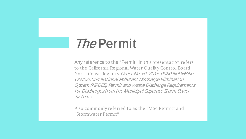# The Permit

Any reference to the "Permit" in this presentation refers to the California Regional Water Quality Control Board North Coast Region's Order No. R1-2015-0030 NPDES No. CA0025054 National Pollutant Discharge Elimination System (NPDES) Permit and Waste Discharge Requirements for Discharges from the Municipal Separate Storm Sewer Systems

Also commonly referred to as the "MS4 Permit" and "Stormwater Permit"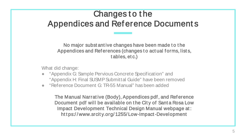# Changes to the Appendices and Ref erence Document s

No major subst ant ive changes have been made t o t he Appendices and References (changes to actual forms, lists, t ables, et c.)

What did change:

- "Appendix G: Sample Pervious Concrete Specification" and "Appendix H: Final SUSMP Submittal Guide" have been removed
- "Reference Document G: TR-55 Manual" has been added

The Manual Narrat ive (Body), Appendices pdf , and Ref erence Document pdf will be available on the City of Santa Rosa Low Impact Development Technical Design Manual webpage at : https://www.srcity.org/1255/Low-Impact-Development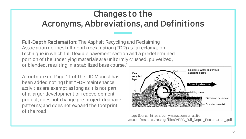# Changes to the Acronyms, Abbreviat ions, and Def init ions

Full-Dept h Reclamat ion: The Asphalt Recycling and Reclaiming Association defines full-depth reclamation (FDR) as "a reclamation technique in which full flexible pavement section and a predetermined portion of the underlying materials are uniformly crushed, pulverized, or blended, resulting in a stabilized base course."

A footnote on Page 11 of the LID Manual has been added noting that "FDR maintenance activities are exempt as long as it is not part of a larger development or redevelopment project; does not change pre-project drainage patterns; and does not expand the footprint of the road.



Image Source: https://cdn.ymaws.com/arra.siteym.com/resource/resmgr/files/ARRA\_Full\_Depth\_Reclamation\_.pdf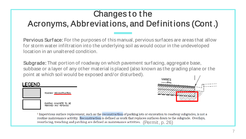# Changes to the Acronyms, Abbreviat ions, and Def init ions (Cont .)

Pervious Surf ace: For the purposes of this manual, pervious surfaces are areas that allow for storm water infiltration into the underlying soil as would occur in the undeveloped location in an unaltered condition.

Subgrade: That portion of roadway on which pavement surfacing, aggregate base, subbase or a layer of any other material is placed (also known as the grading plane or the point at which soil would be exposed and/or disturbed).





<sup>5</sup> Impervious surface replacement, such as the reconstruction of parking lots or excavation to roadway subgrades, is not a routine maintenance activity. Reconstruction is defined as work that replaces surfaces down to the subgrade. Overlays, resurfacing, trenching and patching are defined as maintenance activities. (Permit, p. 26)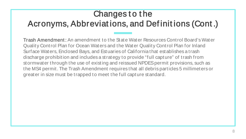# Changes to the Acronyms, Abbreviat ions, and Def init ions (Cont .)

Trash Amendment : An amendment to the State Water Resources Control Board's Water Quality Control Plan for Ocean Waters and the Water Quality Control Plan for Inland Surface Waters, Enclosed Bays, and Estuaries of California that establishes a trash discharge prohibition and includes a strategy to provide "full capture" of trash from stormwater through the use of existing and reissued NPDES permit provisions, such as the MS4 permit. The Trash Amendment requires that all debris particles 5 millimeters or greater in size must be trapped to meet the full capture standard.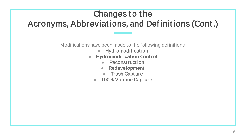# Changes to the Acronyms, Abbreviat ions, and Def init ions (Cont .)

Modifications have been made to the following definitions:

- **Hydromodification**
- Hydromodif icat ion Cont rol
	- Reconst ruct ion
	- Redevelopment
	- Trash Capt ure
	- 100% Volume Capture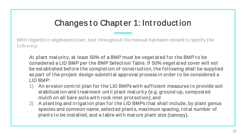### Changes to Chapter 1: Introduction

With regards to vegetated cover, text throughout the manual has been revised to specify the following:

At plant maturity, at least 50% of a BMP must be veget at ed for the BMP to be considered a LID BMP per t he BMP Select ion Table. If 50% veget at ed cover will not be est ablished bef ore t he complet ion of const ruct ion, t he f ollowing shall be supplied as part of the project design submittal approval process in order to be considered a LID BMP:

- 1) An erosion control plan for the LID BMPs with sufficient measures to provide soil st abilizat ion and t reat ment unt il plant mat urit y (e.g. ground-up, compost ed mulch on all bare soils with rock inlet protection); and
- 2) A planting and irrigation plan for the LID BMPs that shall include, by plant genus species and common name, select ed plant s, maximum spacing, t ot al number of plant s to be installed, and a table with mature plant size (canopy).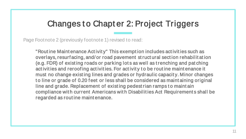### Changes t o Chapt er 2: Project Triggers

Page Footnote 2 (previously footnote 1) revised to read:

"Rout ine Maint enance Act ivit y" This exempt ion includes act ivit ies such as overlays, resurf acing, and/ or road pavement st ruct ural sect ion rehabilit at ion (e.g. FDR) of exist ing roads or parking lot s as well as t renching and pat ching act ivities and reroofing activities. For activity to be routine maintenance it must no change exist ing lines and grades or hydraulic capacit y. Minor changes to line or grade of 0.20 feet or less shall be considered as maint aining original line and grade. Replacement of existing pedest rian ramps to maintain compliance wit h current Americans wit h Disabilit ies Act Requirement s shall be regarded as rout ine maint enance.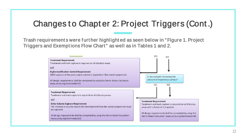### Changes to Chapter 2: Project Triggers (Cont.)

Trash requirements were further highlighted as seen below in "Figure 1. Project Triggers and Exemptions Flow Chart" as well as in Tables 1 and 2.

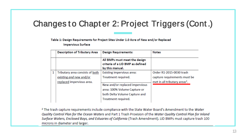# Changes to Chapter 2: Project Triggers (Cont.)

Table 1: Design Requirements for Project Sites Under 1.0 Acre of New and/or Replaced **Impervious Surface** 

|   | <b>Description of Tributary Area</b> | <b>Design Requirements:</b>                                                                                            | <b>Notes</b>                              |
|---|--------------------------------------|------------------------------------------------------------------------------------------------------------------------|-------------------------------------------|
|   |                                      | All BMPs must meet the design<br>criteria of a LID BMP as defined<br>by this manual.                                   |                                           |
| 1 | Tributary area consists of both      | Existing impervious area:                                                                                              | Order R1-2015-0030 trash                  |
|   | existing and new and/or              | Treatment required.                                                                                                    | capture requirements must be              |
|   | replaced impervious area.            | New and/or replaced impervious<br>area: 100% Volume Capture or<br>both Delta Volume Capture and<br>Treatment required. | met in all tributary areas <sup>2</sup> . |

<sup>2</sup> The trash capture requirements include compliance with the State Water Board's Amendment to the Water Quality Control Plan for the Ocean Waters and Part 1 Trash Provision of the Water Quality Control Plan for Inland Surface Waters, Enclosed Bays, and Estuaries of California (Trash Amendment). LID BMPs must capture trash 100 microns in diameter and larger.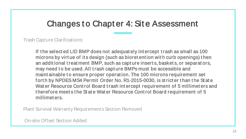#### Changes t o Chapt er 4: Sit e Assessment

Trash Capture Clarifications:

If t he select ed LID BMP does not adequat ely int ercept t rash as small as 100 microns by virt ue of it s design (such as bioret ent ion wit h curb openings) t hen an addit ional t reat ment BMP, such as capt ure insert s, basket s, or separat ors, may need to be used. All trash capture BMPs must be accessible and maint ainable to ensure proper operation. The 100 microns requirement set forth by NPDES MS4 Permit Order No. R1-2015-0030, is stricter than the State Wat er Resource Control Board trash intercept requirement of 5 millimeters and t heref ore meet s t he St at e Wat er Resource Cont rol Board requirement of 5 millimet ers.

Plant Survival Warranty Requirements Section Removed

On-site Offset Section Added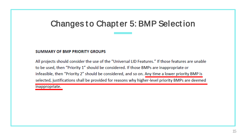### **Changes to Chapter 5: BMP Selection**

#### **SUMMARY OF BMP PRIORITY GROUPS**

All projects should consider the use of the "Universal LID Features." If those features are unable to be used, then "Priority 1" should be considered. If those BMPs are inappropriate or infeasible, then "Priority 2" should be considered, and so on. Any time a lower priority BMP is selected, justifications shall be provided for reasons why higher-level priority BMPs are deemed inappropriate.